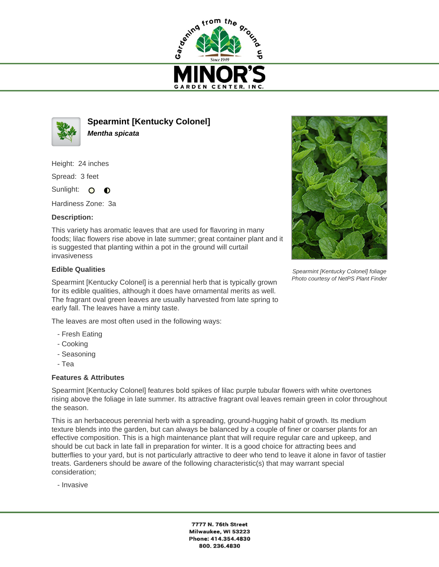



**Spearmint [Kentucky Colonel] Mentha spicata**

Height: 24 inches

Spread: 3 feet

Sunlight: O  $\bullet$ 

Hardiness Zone: 3a

## **Description:**

This variety has aromatic leaves that are used for flavoring in many foods; lilac flowers rise above in late summer; great container plant and it is suggested that planting within a pot in the ground will curtail invasiveness

## **Edible Qualities**

Spearmint [Kentucky Colonel] is a perennial herb that is typically grown for its edible qualities, although it does have ornamental merits as well. The fragrant oval green leaves are usually harvested from late spring to early fall. The leaves have a minty taste.

The leaves are most often used in the following ways:

- Fresh Eating
- Cooking
- Seasoning
- Tea

## **Features & Attributes**

Spearmint [Kentucky Colonel] features bold spikes of lilac purple tubular flowers with white overtones rising above the foliage in late summer. Its attractive fragrant oval leaves remain green in color throughout the season.

This is an herbaceous perennial herb with a spreading, ground-hugging habit of growth. Its medium texture blends into the garden, but can always be balanced by a couple of finer or coarser plants for an effective composition. This is a high maintenance plant that will require regular care and upkeep, and should be cut back in late fall in preparation for winter. It is a good choice for attracting bees and butterflies to your yard, but is not particularly attractive to deer who tend to leave it alone in favor of tastier treats. Gardeners should be aware of the following characteristic(s) that may warrant special consideration;

- Invasive

7777 N. 76th Street Milwaukee, WI 53223 Phone: 414.354.4830 800.236.4830



Spearmint [Kentucky Colonel] foliage Photo courtesy of NetPS Plant Finder